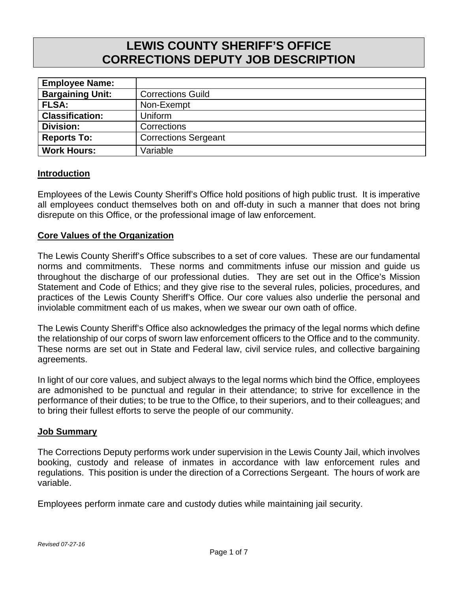# **LEWIS COUNTY SHERIFF'S OFFICE CORRECTIONS DEPUTY JOB DESCRIPTION**

| <b>Employee Name:</b>   |                             |
|-------------------------|-----------------------------|
| <b>Bargaining Unit:</b> | <b>Corrections Guild</b>    |
| <b>FLSA:</b>            | Non-Exempt                  |
| <b>Classification:</b>  | Uniform                     |
| <b>Division:</b>        | Corrections                 |
| <b>Reports To:</b>      | <b>Corrections Sergeant</b> |
| <b>Work Hours:</b>      | Variable                    |

#### **Introduction**

Employees of the Lewis County Sheriff's Office hold positions of high public trust. It is imperative all employees conduct themselves both on and off-duty in such a manner that does not bring disrepute on this Office, or the professional image of law enforcement.

#### **Core Values of the Organization**

The Lewis County Sheriff's Office subscribes to a set of core values. These are our fundamental norms and commitments. These norms and commitments infuse our mission and guide us throughout the discharge of our professional duties. They are set out in the Office's Mission Statement and Code of Ethics; and they give rise to the several rules, policies, procedures, and practices of the Lewis County Sheriff's Office. Our core values also underlie the personal and inviolable commitment each of us makes, when we swear our own oath of office.

The Lewis County Sheriff's Office also acknowledges the primacy of the legal norms which define the relationship of our corps of sworn law enforcement officers to the Office and to the community. These norms are set out in State and Federal law, civil service rules, and collective bargaining agreements.

In light of our core values, and subject always to the legal norms which bind the Office, employees are admonished to be punctual and regular in their attendance; to strive for excellence in the performance of their duties; to be true to the Office, to their superiors, and to their colleagues; and to bring their fullest efforts to serve the people of our community.

#### **Job Summary**

The Corrections Deputy performs work under supervision in the Lewis County Jail, which involves booking, custody and release of inmates in accordance with law enforcement rules and regulations. This position is under the direction of a Corrections Sergeant. The hours of work are variable.

Employees perform inmate care and custody duties while maintaining jail security.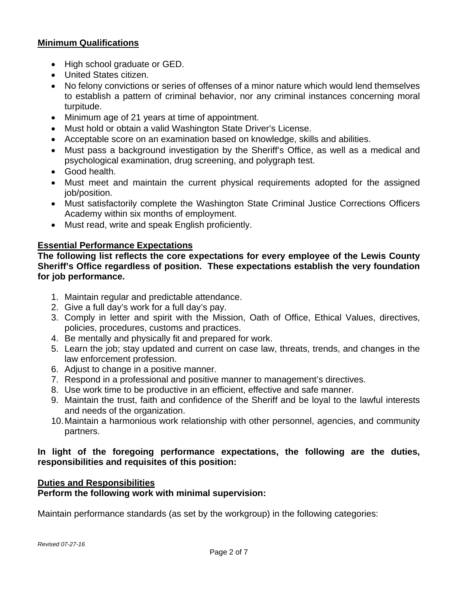## **Minimum Qualifications**

- High school graduate or GED.
- United States citizen.
- No felony convictions or series of offenses of a minor nature which would lend themselves to establish a pattern of criminal behavior, nor any criminal instances concerning moral turpitude.
- Minimum age of 21 years at time of appointment.
- Must hold or obtain a valid Washington State Driver's License.
- Acceptable score on an examination based on knowledge, skills and abilities.
- Must pass a background investigation by the Sheriff's Office, as well as a medical and psychological examination, drug screening, and polygraph test.
- Good health.
- Must meet and maintain the current physical requirements adopted for the assigned job/position.
- Must satisfactorily complete the Washington State Criminal Justice Corrections Officers Academy within six months of employment.
- Must read, write and speak English proficiently.

## **Essential Performance Expectations**

**The following list reflects the core expectations for every employee of the Lewis County Sheriff's Office regardless of position. These expectations establish the very foundation for job performance.** 

- 1. Maintain regular and predictable attendance.
- 2. Give a full day's work for a full day's pay.
- 3. Comply in letter and spirit with the Mission, Oath of Office, Ethical Values, directives, policies, procedures, customs and practices.
- 4. Be mentally and physically fit and prepared for work.
- 5. Learn the job; stay updated and current on case law, threats, trends, and changes in the law enforcement profession.
- 6. Adjust to change in a positive manner.
- 7. Respond in a professional and positive manner to management's directives.
- 8. Use work time to be productive in an efficient, effective and safe manner.
- 9. Maintain the trust, faith and confidence of the Sheriff and be loyal to the lawful interests and needs of the organization.
- 10. Maintain a harmonious work relationship with other personnel, agencies, and community partners.

# **In light of the foregoing performance expectations, the following are the duties, responsibilities and requisites of this position:**

## **Duties and Responsibilities**

**Perform the following work with minimal supervision:** 

Maintain performance standards (as set by the workgroup) in the following categories: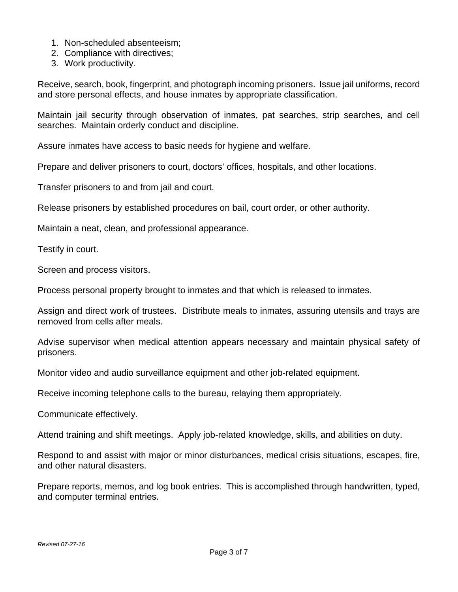- 1. Non-scheduled absenteeism;
- 2. Compliance with directives;
- 3. Work productivity.

Receive, search, book, fingerprint, and photograph incoming prisoners. Issue jail uniforms, record and store personal effects, and house inmates by appropriate classification.

Maintain jail security through observation of inmates, pat searches, strip searches, and cell searches. Maintain orderly conduct and discipline.

Assure inmates have access to basic needs for hygiene and welfare.

Prepare and deliver prisoners to court, doctors' offices, hospitals, and other locations.

Transfer prisoners to and from jail and court.

Release prisoners by established procedures on bail, court order, or other authority.

Maintain a neat, clean, and professional appearance.

Testify in court.

Screen and process visitors.

Process personal property brought to inmates and that which is released to inmates.

Assign and direct work of trustees. Distribute meals to inmates, assuring utensils and trays are removed from cells after meals.

Advise supervisor when medical attention appears necessary and maintain physical safety of prisoners.

Monitor video and audio surveillance equipment and other job-related equipment.

Receive incoming telephone calls to the bureau, relaying them appropriately.

Communicate effectively.

Attend training and shift meetings. Apply job-related knowledge, skills, and abilities on duty.

Respond to and assist with major or minor disturbances, medical crisis situations, escapes, fire, and other natural disasters.

Prepare reports, memos, and log book entries. This is accomplished through handwritten, typed, and computer terminal entries.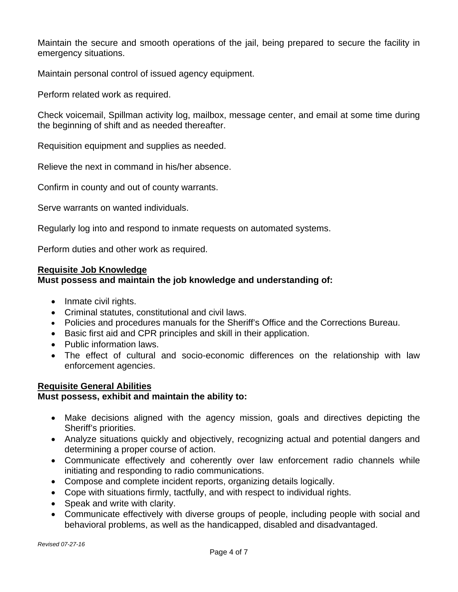Maintain the secure and smooth operations of the jail, being prepared to secure the facility in emergency situations.

Maintain personal control of issued agency equipment.

Perform related work as required.

Check voicemail, Spillman activity log, mailbox, message center, and email at some time during the beginning of shift and as needed thereafter.

Requisition equipment and supplies as needed.

Relieve the next in command in his/her absence.

Confirm in county and out of county warrants.

Serve warrants on wanted individuals.

Regularly log into and respond to inmate requests on automated systems.

Perform duties and other work as required.

#### **Requisite Job Knowledge**

## **Must possess and maintain the job knowledge and understanding of:**

- Inmate civil rights.
- Criminal statutes, constitutional and civil laws.
- Policies and procedures manuals for the Sheriff's Office and the Corrections Bureau.
- Basic first aid and CPR principles and skill in their application.
- Public information laws.
- The effect of cultural and socio-economic differences on the relationship with law enforcement agencies.

## **Requisite General Abilities**

## **Must possess, exhibit and maintain the ability to:**

- Make decisions aligned with the agency mission, goals and directives depicting the Sheriff's priorities.
- Analyze situations quickly and objectively, recognizing actual and potential dangers and determining a proper course of action.
- Communicate effectively and coherently over law enforcement radio channels while initiating and responding to radio communications.
- Compose and complete incident reports, organizing details logically.
- Cope with situations firmly, tactfully, and with respect to individual rights.
- Speak and write with clarity.
- Communicate effectively with diverse groups of people, including people with social and behavioral problems, as well as the handicapped, disabled and disadvantaged.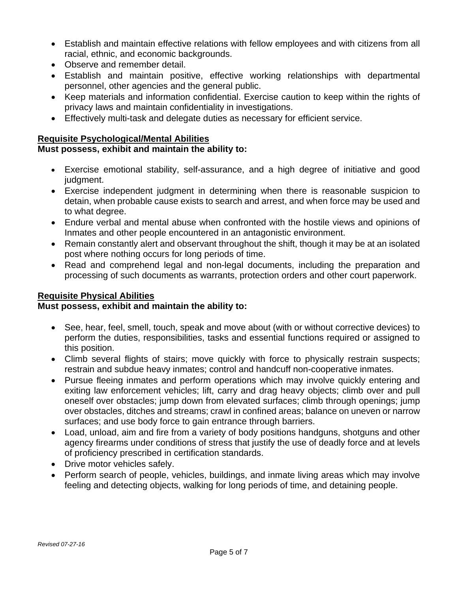- Establish and maintain effective relations with fellow employees and with citizens from all racial, ethnic, and economic backgrounds.
- Observe and remember detail.
- Establish and maintain positive, effective working relationships with departmental personnel, other agencies and the general public.
- Keep materials and information confidential. Exercise caution to keep within the rights of privacy laws and maintain confidentiality in investigations.
- Effectively multi-task and delegate duties as necessary for efficient service.

# **Requisite Psychological/Mental Abilities**

# **Must possess, exhibit and maintain the ability to:**

- Exercise emotional stability, self-assurance, and a high degree of initiative and good judgment.
- Exercise independent judgment in determining when there is reasonable suspicion to detain, when probable cause exists to search and arrest, and when force may be used and to what degree.
- Endure verbal and mental abuse when confronted with the hostile views and opinions of Inmates and other people encountered in an antagonistic environment.
- Remain constantly alert and observant throughout the shift, though it may be at an isolated post where nothing occurs for long periods of time.
- Read and comprehend legal and non-legal documents, including the preparation and processing of such documents as warrants, protection orders and other court paperwork.

# **Requisite Physical Abilities**

## **Must possess, exhibit and maintain the ability to:**

- See, hear, feel, smell, touch, speak and move about (with or without corrective devices) to perform the duties, responsibilities, tasks and essential functions required or assigned to this position.
- Climb several flights of stairs; move quickly with force to physically restrain suspects; restrain and subdue heavy inmates; control and handcuff non-cooperative inmates.
- Pursue fleeing inmates and perform operations which may involve quickly entering and exiting law enforcement vehicles; lift, carry and drag heavy objects; climb over and pull oneself over obstacles; jump down from elevated surfaces; climb through openings; jump over obstacles, ditches and streams; crawl in confined areas; balance on uneven or narrow surfaces; and use body force to gain entrance through barriers.
- Load, unload, aim and fire from a variety of body positions handguns, shotguns and other agency firearms under conditions of stress that justify the use of deadly force and at levels of proficiency prescribed in certification standards.
- Drive motor vehicles safely.
- Perform search of people, vehicles, buildings, and inmate living areas which may involve feeling and detecting objects, walking for long periods of time, and detaining people.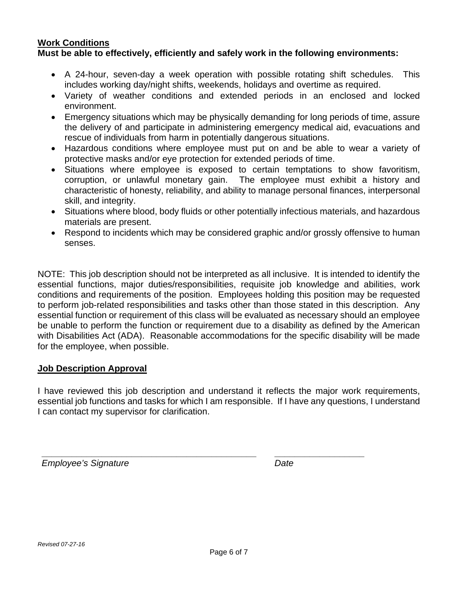#### **Work Conditions Must be able to effectively, efficiently and safely work in the following environments:**

- A 24-hour, seven-day a week operation with possible rotating shift schedules. This includes working day/night shifts, weekends, holidays and overtime as required.
- Variety of weather conditions and extended periods in an enclosed and locked environment.
- Emergency situations which may be physically demanding for long periods of time, assure the delivery of and participate in administering emergency medical aid, evacuations and rescue of individuals from harm in potentially dangerous situations.
- Hazardous conditions where employee must put on and be able to wear a variety of protective masks and/or eye protection for extended periods of time.
- Situations where employee is exposed to certain temptations to show favoritism, corruption, or unlawful monetary gain. The employee must exhibit a history and characteristic of honesty, reliability, and ability to manage personal finances, interpersonal skill, and integrity.
- Situations where blood, body fluids or other potentially infectious materials, and hazardous materials are present.
- Respond to incidents which may be considered graphic and/or grossly offensive to human senses.

NOTE: This job description should not be interpreted as all inclusive. It is intended to identify the essential functions, major duties/responsibilities, requisite job knowledge and abilities, work conditions and requirements of the position. Employees holding this position may be requested to perform job-related responsibilities and tasks other than those stated in this description. Any essential function or requirement of this class will be evaluated as necessary should an employee be unable to perform the function or requirement due to a disability as defined by the American with Disabilities Act (ADA). Reasonable accommodations for the specific disability will be made for the employee, when possible.

# **Job Description Approval**

I have reviewed this job description and understand it reflects the major work requirements, essential job functions and tasks for which I am responsible. If I have any questions, I understand I can contact my supervisor for clarification.

**\_\_\_\_\_\_\_\_\_\_\_\_\_\_\_\_\_\_\_\_\_\_\_\_\_\_\_\_\_\_\_\_\_\_\_\_\_\_\_\_\_\_\_ \_\_\_\_\_\_\_\_\_\_\_\_\_\_\_\_\_\_** 

**Employee's Signature Community Community Community Community Community Community Community Community Community**